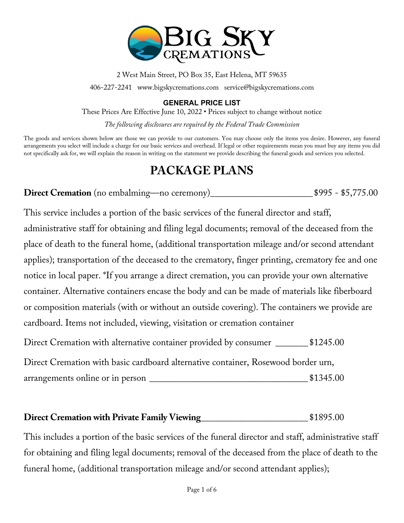

2 West Main Street, PO Box 35, East Helena, MT 59635

406-227-2241 www.bigskycremations.com service@bigskycremations.com

#### **GENERAL PRICE LIST**

These Prices Are Effective June 10, 2022 • Prices subject to change without notice

*The following disclosures are required by the Federal Trade Commission*

The goods and services shown below are those we can provide to our customers. You may choose only the items you desire. However, any funeral arrangements you select will include a charge for our basic services and overhead. If legal or other requirements mean you must buy any items you did not specifically ask for, we will explain the reason in writing on the statement we provide describing the funeral goods and services you selected.

## **PACKAGE PLANS**

**Direct Cremation** (no embalming—no ceremony)\_\_\_\_\_\_\_\_\_\_\_\_\_\_\_\_\_\_\_\_\_\_\$995 - \$5,775.00

This service includes a portion of the basic services of the funeral director and staff, administrative staff for obtaining and filing legal documents; removal of the deceased from the place of death to the funeral home, (additional transportation mileage and/or second attendant applies); transportation of the deceased to the crematory, finger printing, crematory fee and one notice in local paper. \*If you arrange a direct cremation, you can provide your own alternative container. Alternative containers encase the body and can be made of materials like fiberboard or composition materials (with or without an outside covering). The containers we provide are cardboard. Items not included, viewing, visitation or cremation container

Direct Cremation with alternative container provided by consumer \_\_\_\_\_\_\_\_ \$1245.00

Direct Cremation with basic cardboard alternative container, Rosewood border urn,

arrangements online or in person \_\_\_\_\_\_\_\_\_\_\_\_\_\_\_\_\_\_\_\_\_\_\_\_\_\_\_\_\_\_\_\_\_\_ \$1345.00

#### **Direct Cremation with Private Family Viewing**\_\_\_\_\_\_\_\_\_\_\_\_\_\_\_\_\_\_\_\_\_\_\_ \$1895.00

This includes a portion of the basic services of the funeral director and staff, administrative staff for obtaining and filing legal documents; removal of the deceased from the place of death to the funeral home, (additional transportation mileage and/or second attendant applies);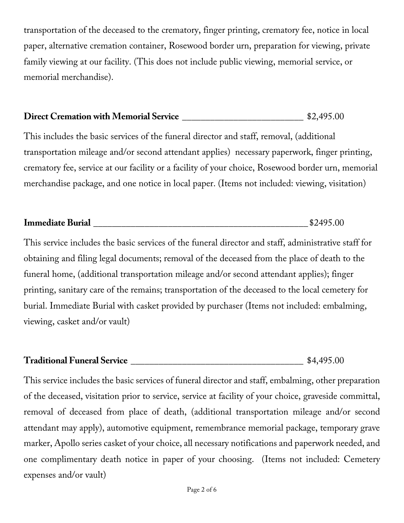transportation of the deceased to the crematory, finger printing, crematory fee, notice in local paper, alternative cremation container, Rosewood border urn, preparation for viewing, private family viewing at our facility. (This does not include public viewing, memorial service, or memorial merchandise).

#### **Direct Cremation with Memorial Service**  $$2,495.00$

This includes the basic services of the funeral director and staff, removal, (additional transportation mileage and/or second attendant applies) necessary paperwork, finger printing, crematory fee, service at our facility or a facility of your choice, Rosewood border urn, memorial merchandise package, and one notice in local paper. (Items not included: viewing, visitation)

| <b>Immediate Burial</b> | 40. JO |
|-------------------------|--------|
|                         |        |

This service includes the basic services of the funeral director and staff, administrative staff for obtaining and filing legal documents; removal of the deceased from the place of death to the funeral home, (additional transportation mileage and/or second attendant applies); finger printing, sanitary care of the remains; transportation of the deceased to the local cemetery for burial. Immediate Burial with casket provided by purchaser (Items not included: embalming, viewing, casket and/or vault)

#### **Traditional Funeral Service** \_\_\_\_\_\_\_\_\_\_\_\_\_\_\_\_\_\_\_\_\_\_\_\_\_\_\_\_\_\_\_\_\_\_\_\_\_ \$4,495.00

This service includes the basic services of funeral director and staff, embalming, other preparation of the deceased, visitation prior to service, service at facility of your choice, graveside committal, removal of deceased from place of death, (additional transportation mileage and/or second attendant may apply), automotive equipment, remembrance memorial package, temporary grave marker, Apollo series casket of your choice, all necessary notifications and paperwork needed, and one complimentary death notice in paper of your choosing. (Items not included: Cemetery expenses and/or vault)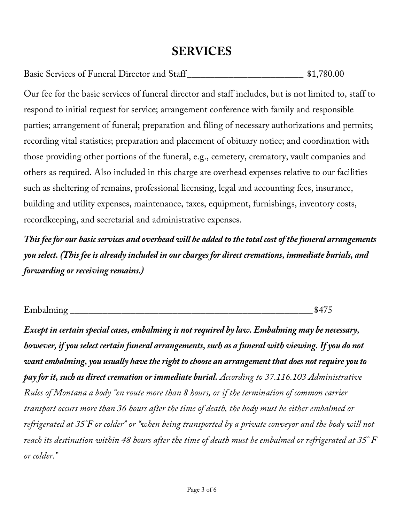## **SERVICES**

| Basic Services of Funeral Director and Staff | \$1,780.00 |
|----------------------------------------------|------------|
|----------------------------------------------|------------|

Our fee for the basic services of funeral director and staff includes, but is not limited to, staff to respond to initial request for service; arrangement conference with family and responsible parties; arrangement of funeral; preparation and filing of necessary authorizations and permits; recording vital statistics; preparation and placement of obituary notice; and coordination with those providing other portions of the funeral, e.g., cemetery, crematory, vault companies and others as required. Also included in this charge are overhead expenses relative to our facilities such as sheltering of remains, professional licensing, legal and accounting fees, insurance, building and utility expenses, maintenance, taxes, equipment, furnishings, inventory costs, recordkeeping, and secretarial and administrative expenses.

*This fee for our basic services and overhead will be added to the total cost of the funeral arrangements you select. (This fee is already included in our charges for direct cremations, immediate burials, and forwarding or receiving remains.)*

| Emba<br>$m$ 1 $n\sigma$<br>mdain<br>.<br>$221110$ with $1111$ |  |
|---------------------------------------------------------------|--|
|---------------------------------------------------------------|--|

*Except in certain special cases, embalming is not required by law. Embalming may be necessary, however, if you select certain funeral arrangements, such as a funeral with viewing. If you do not want embalming, you usually have the right to choose an arrangement that does not require you to pay for it, such as direct cremation or immediate burial. According to 37.116.103 Administrative Rules of Montana a body "en route more than 8 hours, or if the termination of common carrier transport occurs more than 36 hours after the time of death, the body must be either embalmed or refrigerated at 35°F or colder" or "when being transported by a private conveyor and the body will not reach its destination within 48 hours after the time of death must be embalmed or refrigerated at 35° F or colder."*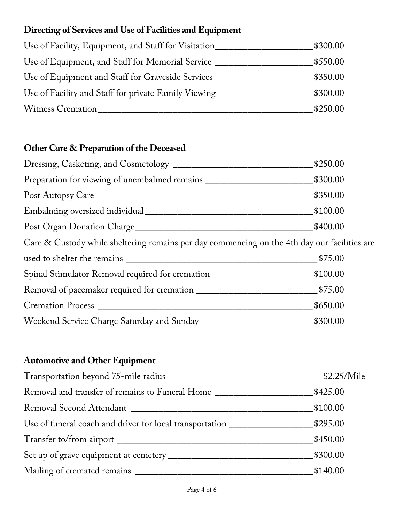### **Directing of Services and Use of Facilities and Equipment**

| Use of Facility, Equipment, and Staff for Visitation | \$300.00 |
|------------------------------------------------------|----------|
| Use of Equipment, and Staff for Memorial Service     | \$550.00 |
| Use of Equipment and Staff for Graveside Services    | \$350.00 |
| Use of Facility and Staff for private Family Viewing | \$300.00 |
| Witness Cremation                                    | \$250.00 |

## **Other Care & Preparation of the Deceased**

|                                                                                              | \$250.00 |
|----------------------------------------------------------------------------------------------|----------|
|                                                                                              |          |
|                                                                                              | \$350.00 |
|                                                                                              | \$100.00 |
|                                                                                              | \$400.00 |
| Care & Custody while sheltering remains per day commencing on the 4th day our facilities are |          |
|                                                                                              | \$75.00  |
| Spinal Stimulator Removal required for cremation_________________________________\$100.00    |          |
|                                                                                              |          |
|                                                                                              | \$650.00 |
|                                                                                              |          |

### **Automotive and Other Equipment**

| Removal and transfer of remains to Funeral Home _________________________________ | \$425.00 |
|-----------------------------------------------------------------------------------|----------|
|                                                                                   | \$100.00 |
|                                                                                   |          |
|                                                                                   | \$450.00 |
|                                                                                   | \$300.00 |
|                                                                                   | \$140.00 |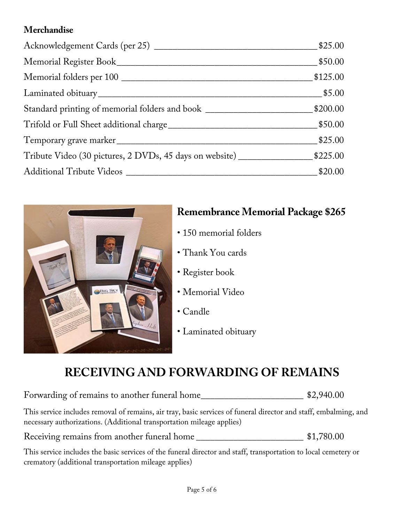### **Merchandise**

|                                                                                  | \$25.00  |
|----------------------------------------------------------------------------------|----------|
|                                                                                  | \$50.00  |
|                                                                                  | \$125.00 |
|                                                                                  | \$5.00   |
| Standard printing of memorial folders and book _________________________________ | \$200.00 |
|                                                                                  | \$50.00  |
|                                                                                  | \$25.00  |
|                                                                                  |          |
|                                                                                  | \$20.00  |



## **Remembrance Memorial Package \$265**

- 150 memorial folders
- Thank You cards
- Register book
- Memorial Video
- Candle
- Laminated obituary

# **RECEIVING AND FORWARDING OF REMAINS**

Forwarding of remains to another funeral home\_\_\_\_\_\_\_\_\_\_\_\_\_\_\_\_\_\_\_\_\_\_ \$2,940.00

This service includes removal of remains, air tray, basic services of funeral director and staff, embalming, and necessary authorizations. (Additional transportation mileage applies)

Receiving remains from another funeral home \_\_\_\_\_\_\_\_\_\_\_\_\_\_\_\_\_\_\_\_\_\_\_\_\_\_\_ \$1,780.00

This service includes the basic services of the funeral director and staff, transportation to local cemetery or crematory (additional transportation mileage applies)